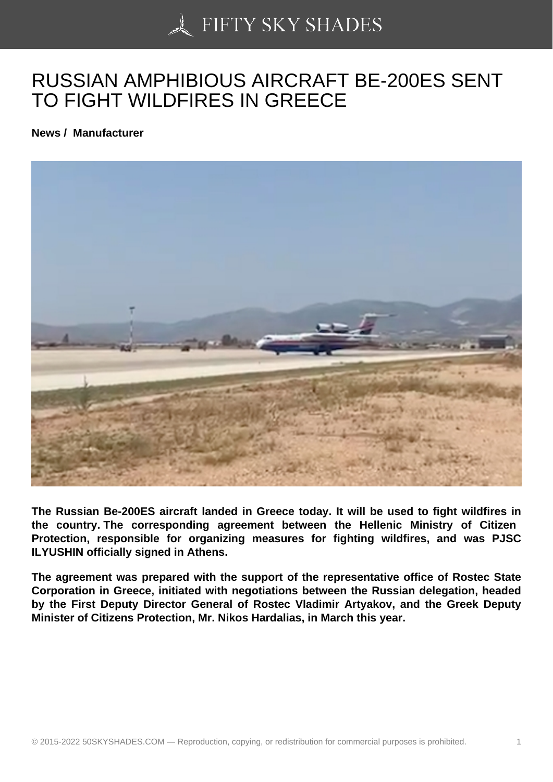## [RUSSIAN AMPHIBIOU](https://50skyshades.com)S AIRCRAFT BE-200ES SENT TO FIGHT WILDFIRES IN GREECE

News / Manufacturer

The Russian Be-200ES aircraft landed in Greece today. It will be used to fight wildfires in the country. The corresponding agreement between the Hellenic Ministry of Citizen Protection, responsible for organizing measures for fighting wildfires, and was PJSC ILYUSHIN officially signed in Athens.

The agreement was prepared with the support of the representative office of Rostec State Corporation in Greece, initiated with negotiations between the Russian delegation, headed by the First Deputy Director General of Rostec Vladimir Artyakov, and the Greek Deputy Minister of Citizens Protection, Mr. Nikos Hardalias, in March this year.